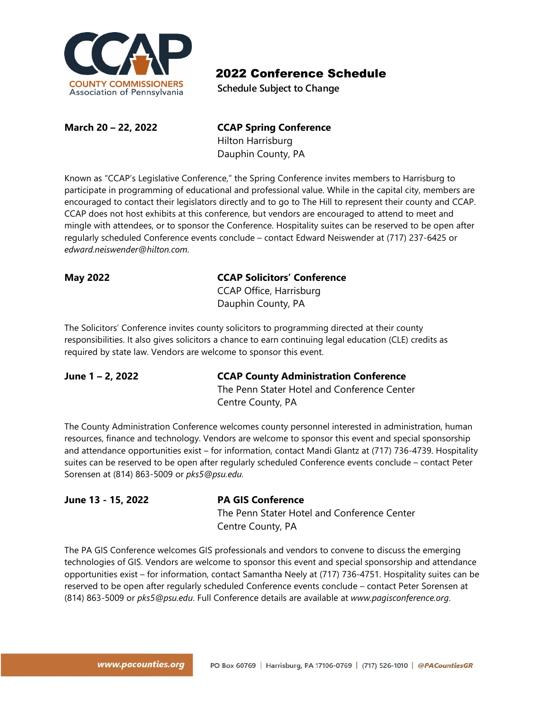

**Schedule Subject to Change**

#### **March 20 – 22, 2022 CCAP Spring Conference** Hilton Harrisburg

Dauphin County, PA

Known as "CCAP's Legislative Conference," the Spring Conference invites members to Harrisburg to participate in programming of educational and professional value. While in the capital city, members are encouraged to contact their legislators directly and to go to The Hill to represent their county and CCAP. CCAP does not host exhibits at this conference, but vendors are encouraged to attend to meet and mingle with attendees, or to sponsor the Conference. Hospitality suites can be reserved to be open after regularly scheduled Conference events conclude – contact Edward Neiswender at (717) 237-6425 or *edward.neiswender@hilton.com.*

### **May 2022 CCAP Solicitors' Conference**

CCAP Office, Harrisburg Dauphin County, PA

The Solicitors' Conference invites county solicitors to programming directed at their county responsibilities. It also gives solicitors a chance to earn continuing legal education (CLE) credits as required by state law. Vendors are welcome to sponsor this event.

### **June 1 – 2, 2022 CCAP County Administration Conference**

The Penn Stater Hotel and Conference Center Centre County, PA

The County Administration Conference welcomes county personnel interested in administration, human resources, finance and technology. Vendors are welcome to sponsor this event and special sponsorship and attendance opportunities exist – for information, contact Mandi Glantz at (717) 736-4739. Hospitality suites can be reserved to be open after regularly scheduled Conference events conclude – contact Peter Sorensen at (814) 863-5009 or *pks5@psu.edu.*

## **June 13 - 15, 2022 PA GIS Conference**

The Penn Stater Hotel and Conference Center Centre County, PA

The PA GIS Conference welcomes GIS professionals and vendors to convene to discuss the emerging technologies of GIS. Vendors are welcome to sponsor this event and special sponsorship and attendance opportunities exist – for information, contact Samantha Neely at (717) 736-4751. Hospitality suites can be reserved to be open after regularly scheduled Conference events conclude – contact Peter Sorensen at (814) 863-5009 or *pks5@psu.edu*. Full Conference details are available at *www.pagisconference.org*.